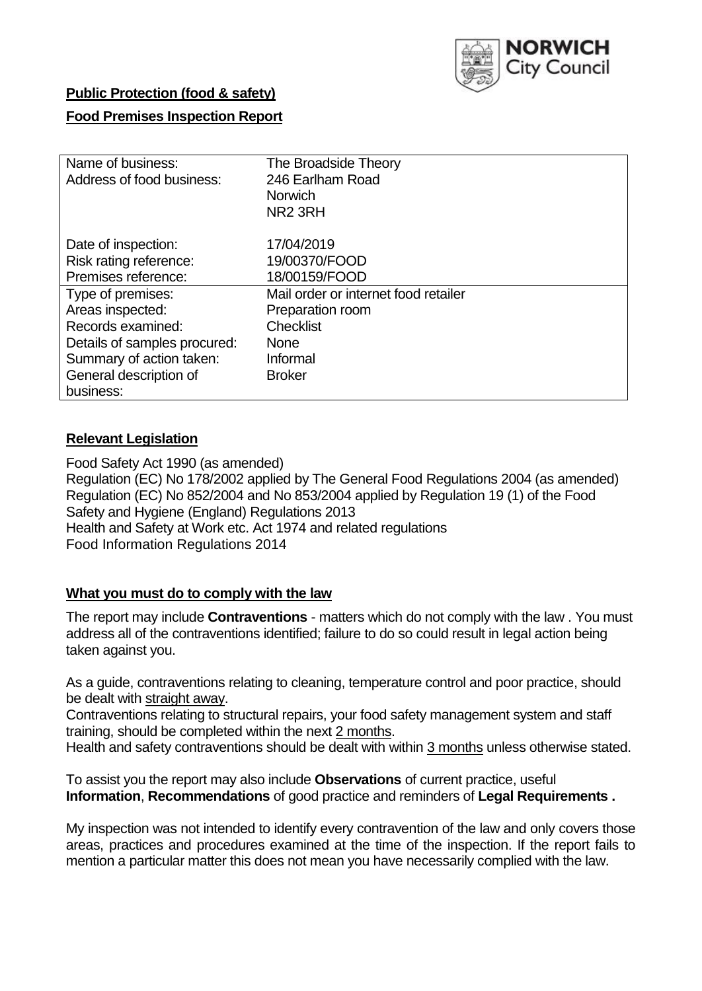

# **Public Protection (food & safety)**

# **Food Premises Inspection Report**

| Name of business:            | The Broadside Theory                 |
|------------------------------|--------------------------------------|
| Address of food business:    | 246 Earlham Road                     |
|                              | <b>Norwich</b>                       |
|                              | NR <sub>2</sub> 3RH                  |
| Date of inspection:          | 17/04/2019                           |
| Risk rating reference:       | 19/00370/FOOD                        |
| Premises reference:          | 18/00159/FOOD                        |
| Type of premises:            | Mail order or internet food retailer |
| Areas inspected:             | Preparation room                     |
| Records examined:            | <b>Checklist</b>                     |
| Details of samples procured: | <b>None</b>                          |
| Summary of action taken:     | Informal                             |
| General description of       | <b>Broker</b>                        |
| business:                    |                                      |

# **Relevant Legislation**

Food Safety Act 1990 (as amended) Regulation (EC) No 178/2002 applied by The General Food Regulations 2004 (as amended) Regulation (EC) No 852/2004 and No 853/2004 applied by Regulation 19 (1) of the Food Safety and Hygiene (England) Regulations 2013 Health and Safety at Work etc. Act 1974 and related regulations Food Information Regulations 2014

### **What you must do to comply with the law**

The report may include **Contraventions** - matters which do not comply with the law . You must address all of the contraventions identified; failure to do so could result in legal action being taken against you.

As a guide, contraventions relating to cleaning, temperature control and poor practice, should be dealt with straight away.

Contraventions relating to structural repairs, your food safety management system and staff training, should be completed within the next 2 months.

Health and safety contraventions should be dealt with within 3 months unless otherwise stated.

To assist you the report may also include **Observations** of current practice, useful **Information**, **Recommendations** of good practice and reminders of **Legal Requirements .**

My inspection was not intended to identify every contravention of the law and only covers those areas, practices and procedures examined at the time of the inspection. If the report fails to mention a particular matter this does not mean you have necessarily complied with the law.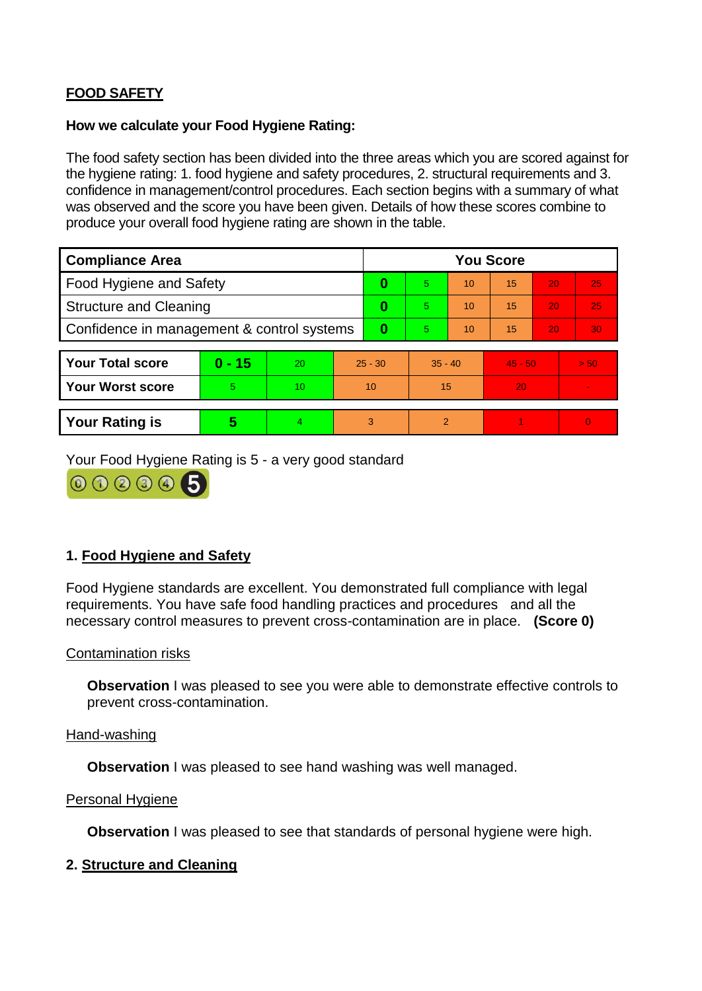# **FOOD SAFETY**

### **How we calculate your Food Hygiene Rating:**

The food safety section has been divided into the three areas which you are scored against for the hygiene rating: 1. food hygiene and safety procedures, 2. structural requirements and 3. confidence in management/control procedures. Each section begins with a summary of what was observed and the score you have been given. Details of how these scores combine to produce your overall food hygiene rating are shown in the table.

| <b>Compliance Area</b>                     |          |    |           | <b>You Score</b> |           |    |           |    |                |  |  |
|--------------------------------------------|----------|----|-----------|------------------|-----------|----|-----------|----|----------------|--|--|
| Food Hygiene and Safety                    |          |    | 0         | $\overline{5}$   | 10        | 15 | 20        | 25 |                |  |  |
| <b>Structure and Cleaning</b>              |          |    | $\bf{0}$  | 5.               | 10        | 15 | 20        | 25 |                |  |  |
| Confidence in management & control systems |          |    | 0         | 5                | 10        | 15 | 20        | 30 |                |  |  |
|                                            |          |    |           |                  |           |    |           |    |                |  |  |
| <b>Your Total score</b>                    | $0 - 15$ | 20 | $25 - 30$ |                  | $35 - 40$ |    | $45 - 50$ |    | > 50           |  |  |
| Your Worst score                           | 5        | 10 | 10        |                  | 15        |    | 20        |    |                |  |  |
|                                            |          |    |           |                  |           |    |           |    |                |  |  |
| <b>Your Rating is</b>                      | 5        | 4. | 3         |                  | 2         |    |           |    | $\overline{0}$ |  |  |

Your Food Hygiene Rating is 5 - a very good standard



# **1. Food Hygiene and Safety**

Food Hygiene standards are excellent. You demonstrated full compliance with legal requirements. You have safe food handling practices and procedures and all the necessary control measures to prevent cross-contamination are in place. **(Score 0)**

### Contamination risks

**Observation** I was pleased to see you were able to demonstrate effective controls to prevent cross-contamination.

### Hand-washing

**Observation** I was pleased to see hand washing was well managed.

### Personal Hygiene

**Observation** I was pleased to see that standards of personal hygiene were high.

### **2. Structure and Cleaning**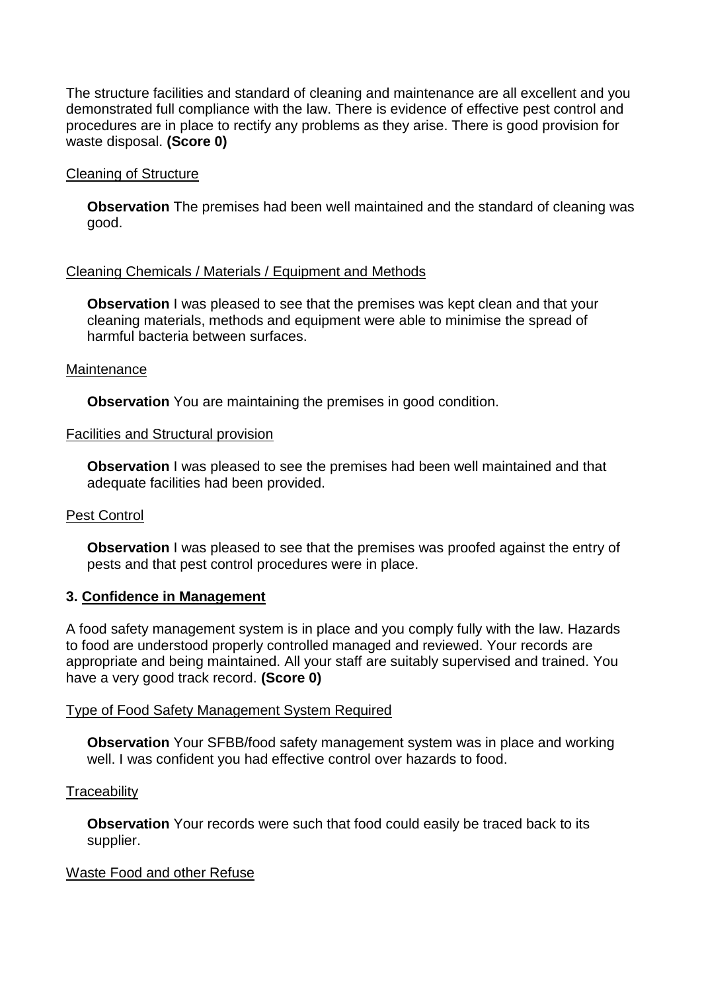The structure facilities and standard of cleaning and maintenance are all excellent and you demonstrated full compliance with the law. There is evidence of effective pest control and procedures are in place to rectify any problems as they arise. There is good provision for waste disposal. **(Score 0)**

### Cleaning of Structure

**Observation** The premises had been well maintained and the standard of cleaning was good.

### Cleaning Chemicals / Materials / Equipment and Methods

**Observation** I was pleased to see that the premises was kept clean and that your cleaning materials, methods and equipment were able to minimise the spread of harmful bacteria between surfaces.

### **Maintenance**

**Observation** You are maintaining the premises in good condition.

#### Facilities and Structural provision

**Observation** I was pleased to see the premises had been well maintained and that adequate facilities had been provided.

### Pest Control

**Observation** I was pleased to see that the premises was proofed against the entry of pests and that pest control procedures were in place.

### **3. Confidence in Management**

A food safety management system is in place and you comply fully with the law. Hazards to food are understood properly controlled managed and reviewed. Your records are appropriate and being maintained. All your staff are suitably supervised and trained. You have a very good track record. **(Score 0)**

### Type of Food Safety Management System Required

**Observation** Your SFBB/food safety management system was in place and working well. I was confident you had effective control over hazards to food.

### **Traceability**

**Observation** Your records were such that food could easily be traced back to its supplier.

### Waste Food and other Refuse